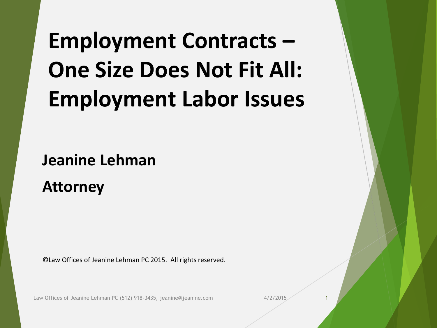## **Employment Contracts – One Size Does Not Fit All: Employment Labor Issues**

**Jeanine Lehman**

**Attorney**

©Law Offices of Jeanine Lehman PC 2015. All rights reserved.

Law Offices of Jeanine Lehman PC (512) 918-3435, jeanine@jeanine.com 4/2/2015 1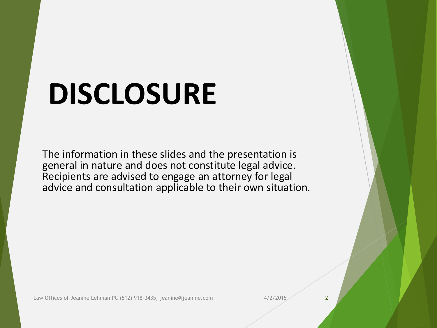## **DISCLOSURE**

The information in these slides and the presentation is general in nature and does not constitute legal advice. Recipients are advised to engage an attorney for legal advice and consultation applicable to their own situation.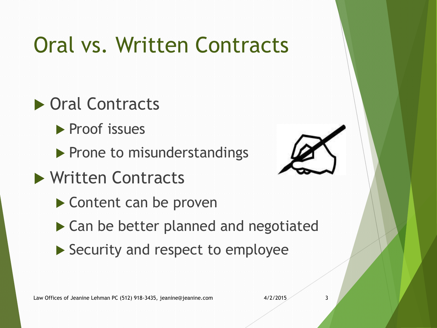## Oral vs. Written Contracts

#### ▶ Oral Contracts

- **Proof issues**
- $\blacktriangleright$  Prone to misunderstandings
- ▶ Written Contracts
	- ▶ Content can be proven
	- ▶ Can be better planned and negotiated
	- Security and respect to employee



Law Offices of Jeanine Lehman PC (512) 918-3435, jeanine@jeanine.com 4/2/2015 3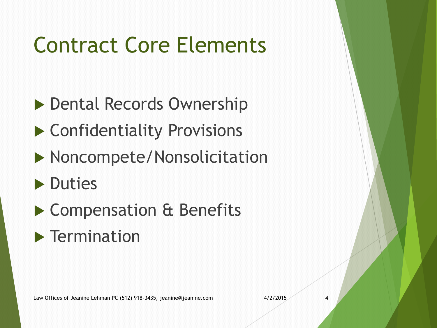## Contract Core Elements

- ▶ Dental Records Ownership
- ▶ Confidentiality Provisions
- **Noncompete/Nonsolicitation**
- **Duties**
- ▶ Compensation & Benefits
- $\blacktriangleright$  Termination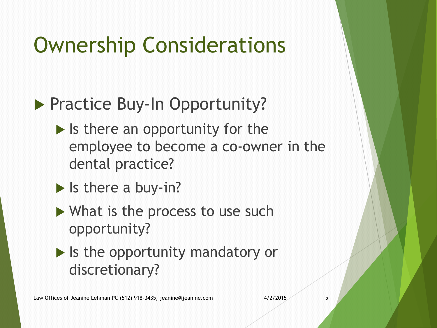## Ownership Considerations

#### **Practice Buy-In Opportunity?**

- $\blacktriangleright$  Is there an opportunity for the employee to become a co-owner in the dental practice?
- $\blacktriangleright$  Is there a buy-in?
- ▶ What is the process to use such opportunity?
- $\blacktriangleright$  Is the opportunity mandatory or discretionary?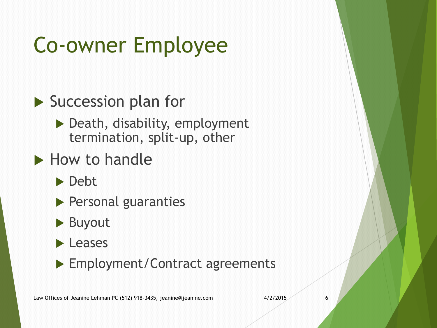## Co-owner Employee

#### ▶ Succession plan for

 $\blacktriangleright$  Death, disability, employment termination, split-up, other

#### $\blacktriangleright$  How to handle

Debt

- Personal guaranties
- ▶ Buyout
- **Leases**
- ▶ Employment/Contract agreements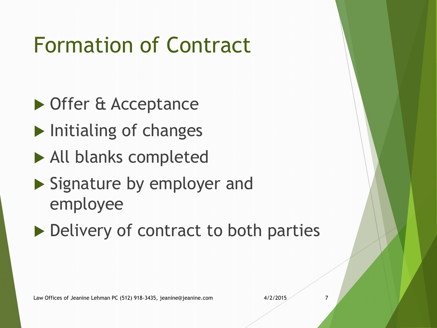## Formation of Contract

- ▶ Offer & Acceptance
- $\blacktriangleright$  Initialing of changes
- All blanks completed
- Signature by employer and employee
- ▶ Delivery of contract to both parties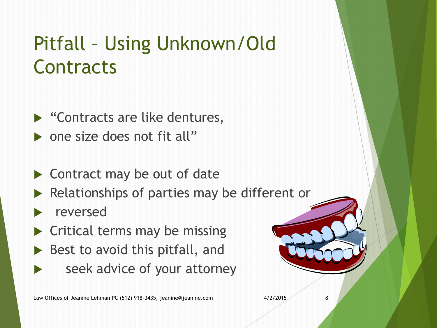#### Pitfall – Using Unknown/Old **Contracts**

- ▶ "Contracts are like dentures, • one size does not fit all"
- ▶ Contract may be out of date
- $\blacktriangleright$  Relationships of parties may be different or
- reversed
- $\blacktriangleright$  Critical terms may be missing
- $\triangleright$  Best to avoid this pitfall, and
	- seek advice of your attorney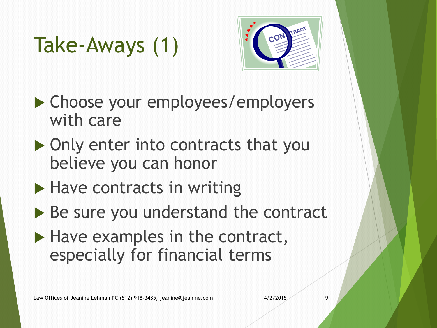## Take-Aways (1)



- ▶ Choose your employees/employers with care
- ▶ Only enter into contracts that you believe you can honor
- $\blacktriangleright$  Have contracts in writing
- ▶ Be sure you understand the contract
- $\blacktriangleright$  Have examples in the contract, especially for financial terms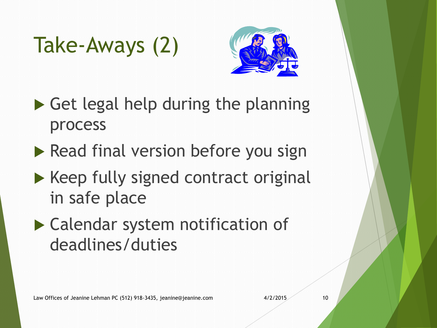## Take-Aways (2)



- $\triangleright$  Get legal help during the planning process
- $\blacktriangleright$  Read final version before you sign
- $\blacktriangleright$  Keep fully signed contract original in safe place
- Calendar system notification of deadlines/duties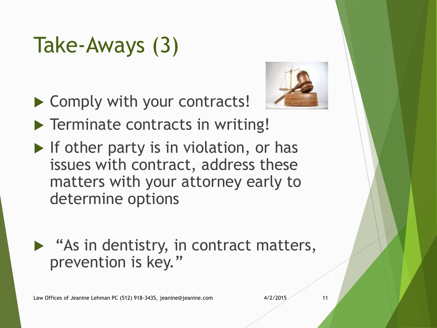## Take-Aways (3)

▶ Comply with your contracts!



- **Terminate contracts in writing!**
- $\blacktriangleright$  If other party is in violation, or has issues with contract, address these matters with your attorney early to determine options
- $\blacktriangleright$  "As in dentistry, in contract matters, prevention is key."

Law Offices of Jeanine Lehman PC (512) 918-3435, jeanine@jeanine.com 4/2/2015 11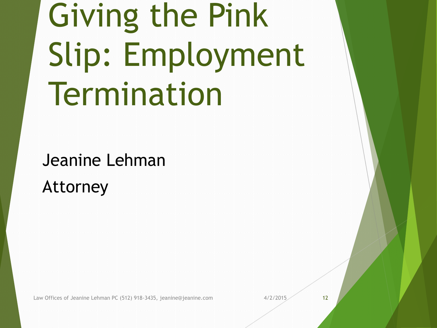# Giving the Pink Slip: Employment Termination

Jeanine Lehman Attorney

Law Offices of Jeanine Lehman PC (512) 918-3435, jeanine@jeanine.com 4/2/2015 4/2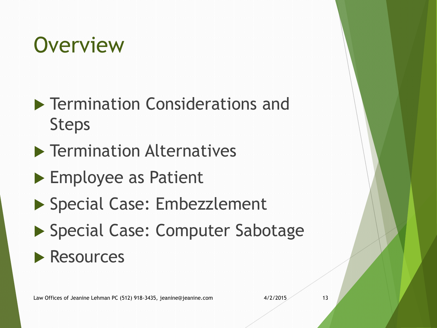## **Overview**

- **Fermination Considerations and** Steps
- $\blacktriangleright$  Termination Alternatives
- ▶ Employee as Patient
- ▶ Special Case: Embezzlement
- ▶ Special Case: Computer Sabotage

#### **Resources**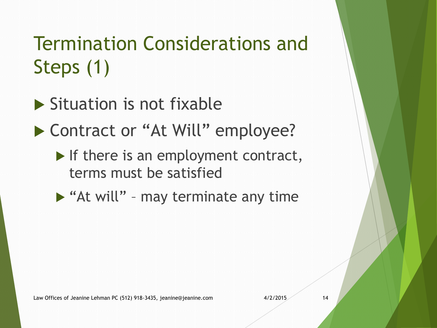### Termination Considerations and Steps (1)

- $\blacktriangleright$  Situation is not fixable
- ▶ Contract or "At Will" employee?
	- $\blacktriangleright$  If there is an employment contract, terms must be satisfied
	- $\triangleright$  "At will" may terminate any time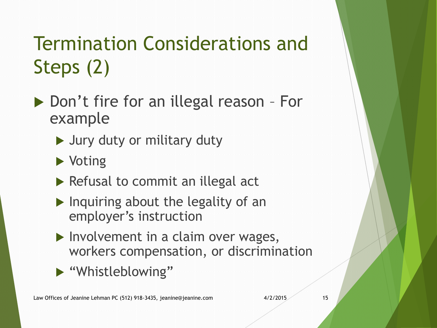### Termination Considerations and Steps (2)

- ▶ Don't fire for an illegal reason For example
	- ▶ Jury duty or military duty
	- ▶ Voting
	- $\triangleright$  Refusal to commit an illegal act
	- $\blacktriangleright$  Inquiring about the legality of an employer's instruction
	- $\blacktriangleright$  Involvement in a claim over wages, workers compensation, or discrimination
	- "Whistleblowing"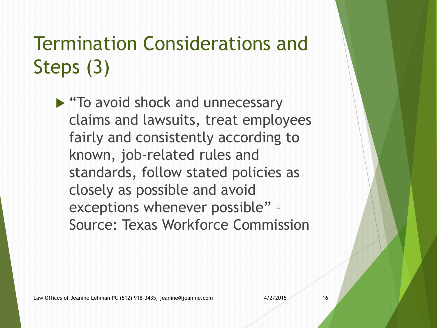#### Termination Considerations and Steps (3)

▶ "To avoid shock and unnecessary claims and lawsuits, treat employees fairly and consistently according to known, job-related rules and standards, follow stated policies as closely as possible and avoid exceptions whenever possible" – Source: Texas Workforce Commission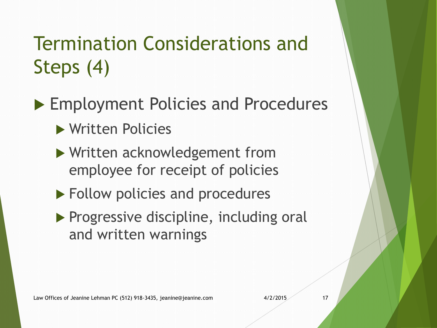#### Termination Considerations and Steps (4)

- ▶ Employment Policies and Procedures
	- Written Policies
	- Written acknowledgement from employee for receipt of policies
	- ▶ Follow policies and procedures
	- Progressive discipline, including oral and written warnings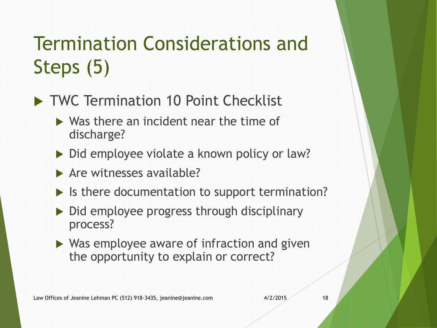### Termination Considerations and Steps (5)

- TWC Termination 10 Point Checklist
	- $\triangleright$  Was there an incident near the time of discharge?
	- ▶ Did employee violate a known policy or law?
	- $\blacktriangleright$  Are witnesses available?
	- If Is there documentation to support termination?
	- $\triangleright$  Did employee progress through disciplinary process?
	- ▶ Was employee aware of infraction and given the opportunity to explain or correct?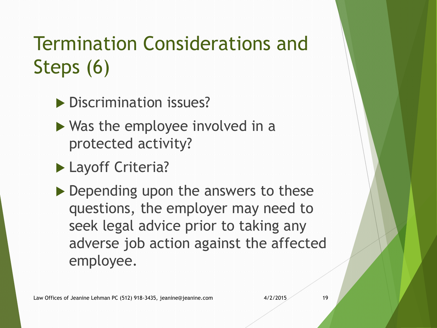#### Termination Considerations and Steps (6)

- Discrimination issues?
- $\triangleright$  Was the employee involved in a protected activity?
- **Layoff Criteria?**
- ▶ Depending upon the answers to these questions, the employer may need to seek legal advice prior to taking any adverse job action against the affected employee.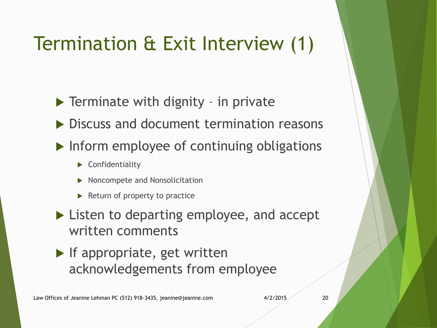#### Termination & Exit Interview (1)

- $\blacktriangleright$  Terminate with dignity in private
- ▶ Discuss and document termination reasons
- $\blacktriangleright$  Inform employee of continuing obligations
	- ▶ Confidentiality
	- Noncompete and Nonsolicitation
	- $\blacktriangleright$  Return of property to practice
- ▶ Listen to departing employee, and accept written comments
- $\blacktriangleright$  If appropriate, get written acknowledgements from employee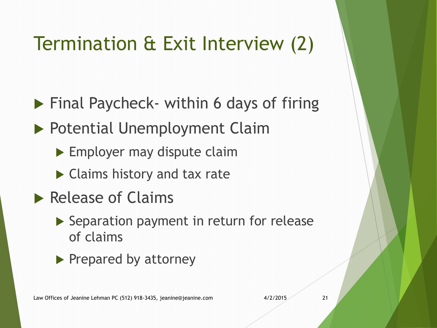### Termination & Exit Interview (2)

- ▶ Final Paycheck- within 6 days of firing
- ▶ Potential Unemployment Claim
	- **Employer may dispute claim**
	- ▶ Claims history and tax rate
- Release of Claims
	- Separation payment in return for release of claims
	- $\blacktriangleright$  Prepared by attorney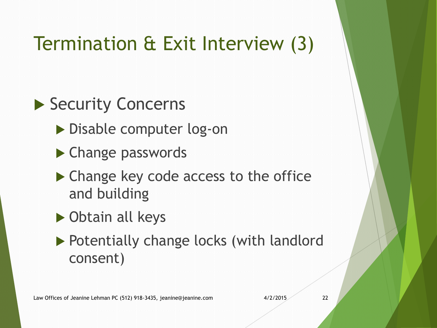#### Termination & Exit Interview (3)

#### ▶ Security Concerns

- ▶ Disable computer log-on
- ▶ Change passwords
- ▶ Change key code access to the office and building
- ▶ Obtain all keys
- ▶ Potentially change locks (with landlord consent)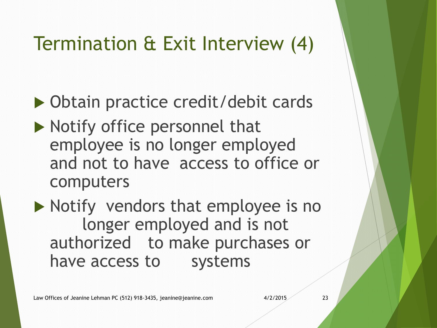#### Termination & Exit Interview (4)

- ▶ Obtain practice credit/debit cards
- $\blacktriangleright$  Notify office personnel that employee is no longer employed and not to have access to office or computers

 $\blacktriangleright$  Notify vendors that employee is no longer employed and is not authorized to make purchases or have access to systems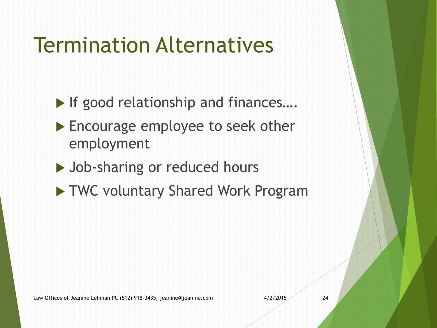## Termination Alternatives

- ▶ If good relationship and finances....
- ▶ Encourage employee to seek other employment
- ▶ Job-sharing or reduced hours
- TWC voluntary Shared Work Program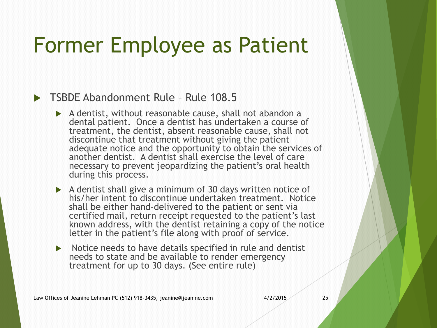## Former Employee as Patient

#### **TSBDF Abandonment Rule - Rule 108.5**

- A dentist, without reasonable cause, shall not abandon a dental patient. Once a dentist has undertaken a course of treatment, the dentist, absent reasonable cause, shall not discontinue that treatment without giving the patient adequate notice and the opportunity to obtain the services of another dentist. A dentist shall exercise the level of care necessary to prevent jeopardizing the patient's oral health during this process.
- A dentist shall give a minimum of 30 days written notice of his/her intent to discontinue undertaken treatment. Notice shall be either hand-delivered to the patient or sent via certified mail, return receipt requested to the patient's last known address, with the dentist retaining a copy of the notice letter in the patient's file along with proof of service.
- $\triangleright$  Notice needs to have details specified in rule and dentist needs to state and be available to render emergency treatment for up to 30 days. (See entire rule)

Law Offices of Jeanine Lehman PC (512) 918-3435, jeanine@jeanine.com 4/2/2015 25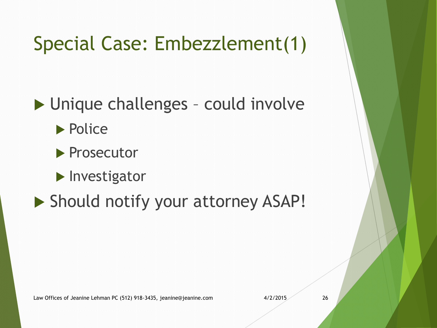### Special Case: Embezzlement(1)

▶ Unique challenges - could involve

**Police** 

**Prosecutor** 

**Investigator** 

Should notify your attorney ASAP!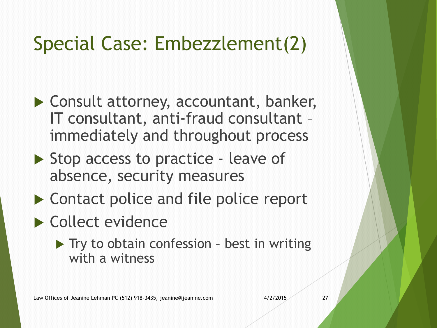### Special Case: Embezzlement(2)

- ▶ Consult attorney, accountant, banker, IT consultant, anti-fraud consultant – immediately and throughout process
- ▶ Stop access to practice leave of absence, security measures
- ▶ Contact police and file police report
- Collect evidence
	- $\blacktriangleright$  Try to obtain confession best in writing with a witness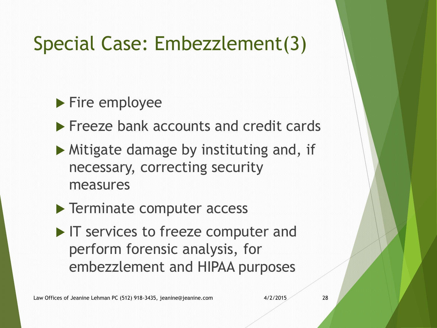#### Special Case: Embezzlement(3)

▶ Fire employee

**Freeze bank accounts and credit cards** 

- $\blacktriangleright$  Mitigate damage by instituting and, if necessary, correcting security measures
- **Terminate computer access**
- In Services to freeze computer and perform forensic analysis, for embezzlement and HIPAA purposes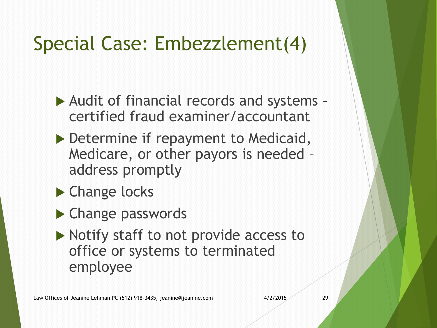#### Special Case: Embezzlement(4)

- Audit of financial records and systems certified fraud examiner/accountant
- Determine if repayment to Medicaid, Medicare, or other payors is needed – address promptly
- ▶ Change locks
- ▶ Change passwords
- $\blacktriangleright$  Notify staff to not provide access to office or systems to terminated employee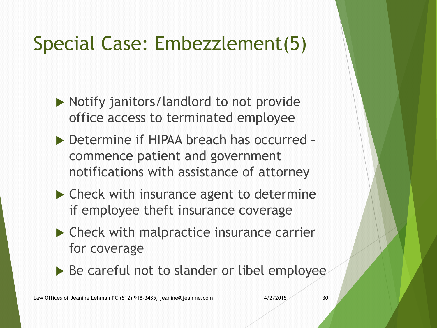### Special Case: Embezzlement(5)

- ▶ Notify janitors/landlord to not provide office access to terminated employee
- ▶ Determine if HIPAA breach has occurred commence patient and government notifications with assistance of attorney
- ▶ Check with insurance agent to determine if employee theft insurance coverage
- ▶ Check with malpractice insurance carrier for coverage
- ▶ Be careful not to slander or libel employee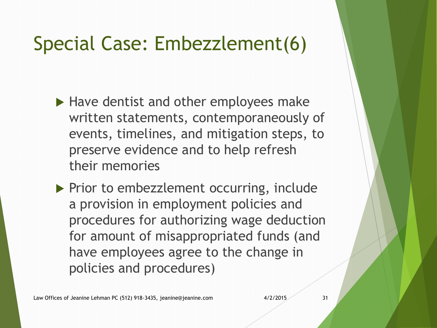#### Special Case: Embezzlement(6)

- $\blacktriangleright$  Have dentist and other employees make written statements, contemporaneously of events, timelines, and mitigation steps, to preserve evidence and to help refresh their memories
- $\triangleright$  Prior to embezzlement occurring, include a provision in employment policies and procedures for authorizing wage deduction for amount of misappropriated funds (and have employees agree to the change in policies and procedures)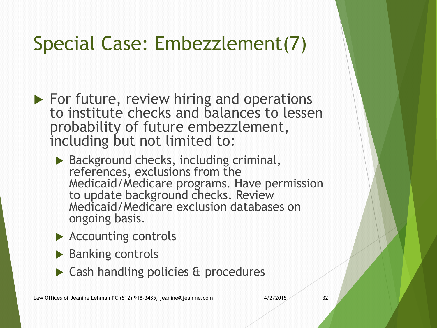#### Special Case: Embezzlement(7)

- $\blacktriangleright$  For future, review hiring and operations to institute checks and balances to lessen probability of future embezzlement, including but not limited to:
	- ▶ Background checks, including criminal, references, exclusions from the Medicaid/Medicare programs. Have permission to update background checks. Review Medicaid/Medicare exclusion databases on ongoing basis.
	- ▶ Accounting controls
	- $\blacktriangleright$  Banking controls
	- ▶ Cash handling policies & procedures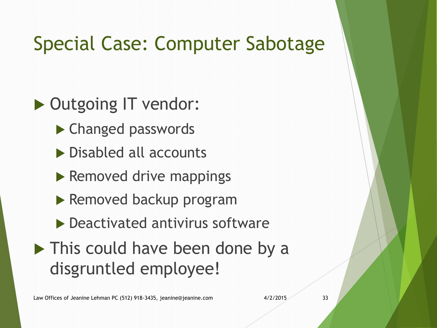#### Special Case: Computer Sabotage

▶ Outgoing IT vendor:

- ▶ Changed passwords
- ▶ Disabled all accounts
- $\blacktriangleright$  Removed drive mappings
- ▶ Removed backup program
- $\blacktriangleright$  Deactivated antivirus software
- **This could have been done by a** disgruntled employee!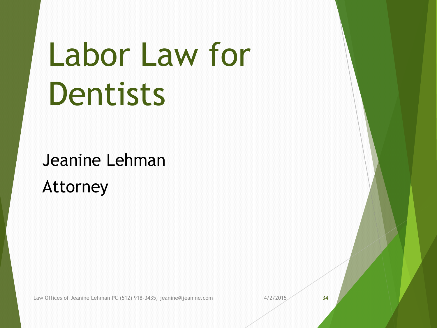# Labor Law for Dentists

Jeanine Lehman Attorney

Law Offices of Jeanine Lehman PC (512) 918-3435, jeanine@jeanine.com 4/2/2015 34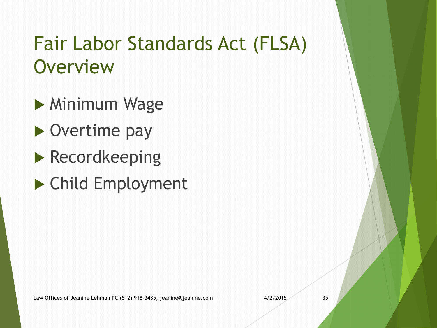#### Fair Labor Standards Act (FLSA) **Overview**

**Minimum Wage** 

- ▶ Overtime pay
- **Recordkeeping**
- Child Employment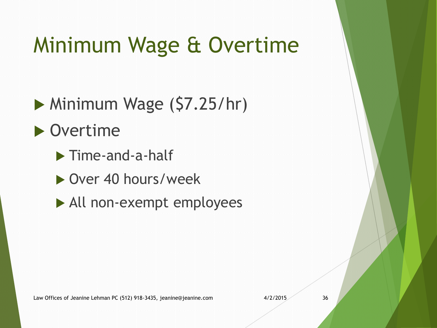## Minimum Wage & Overtime

 $\triangleright$  Minimum Wage (\$7.25/hr)

▶ Overtime

Time-and-a-half

- ▶ Over 40 hours/week
- All non-exempt employees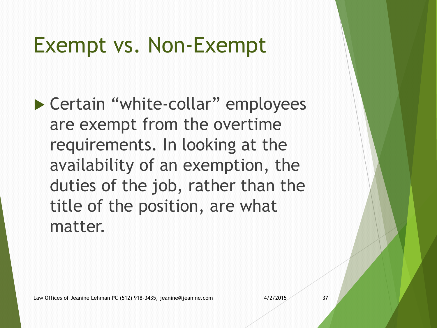## Exempt vs. Non-Exempt

▶ Certain "white-collar" employees are exempt from the overtime requirements. In looking at the availability of an exemption, the duties of the job, rather than the title of the position, are what matter.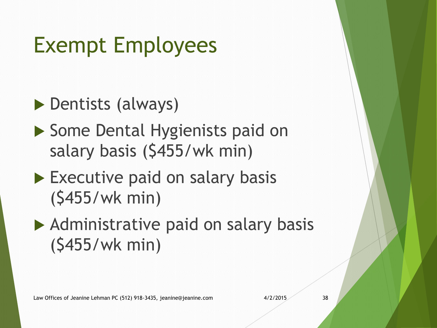## Exempt Employees

▶ Dentists (always)

- ▶ Some Dental Hygienists paid on salary basis (\$455/wk min)
- Executive paid on salary basis (\$455/wk min)
- Administrative paid on salary basis (\$455/wk min)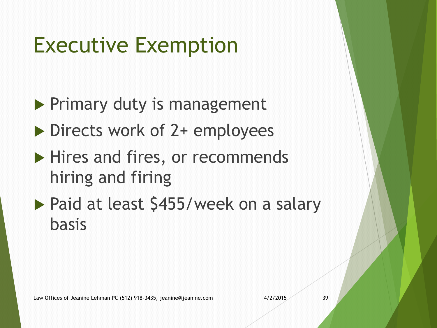## Executive Exemption

- $\blacktriangleright$  Primary duty is management
- Directs work of 2+ employees
- $\blacktriangleright$  Hires and fires, or recommends hiring and firing
- ▶ Paid at least \$455/week on a salary basis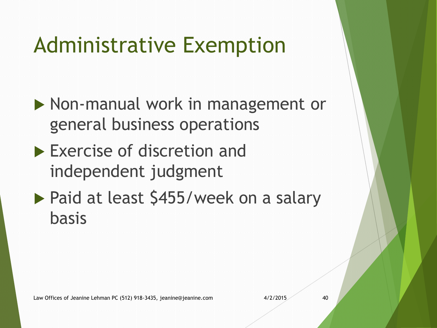## Administrative Exemption

- ▶ Non-manual work in management or general business operations
- **Exercise of discretion and** independent judgment
- ▶ Paid at least \$455/week on a salary basis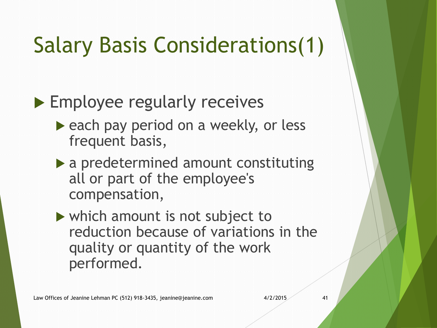## Salary Basis Considerations(1)

#### ▶ Employee regularly receives

- each pay period on a weekly, or less frequent basis,
- a predetermined amount constituting all or part of the employee's compensation,
- which amount is not subject to reduction because of variations in the quality or quantity of the work performed.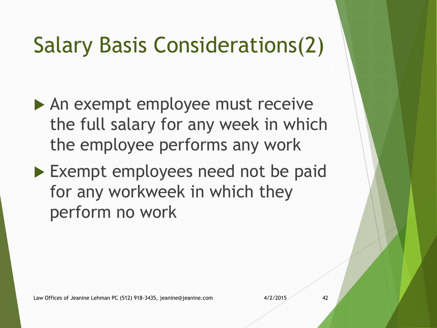## Salary Basis Considerations(2)

- An exempt employee must receive the full salary for any week in which the employee performs any work
- Exempt employees need not be paid for any workweek in which they perform no work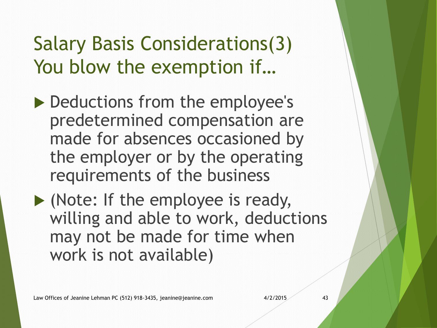#### Salary Basis Considerations(3) You blow the exemption if…

- ▶ Deductions from the employee's predetermined compensation are made for absences occasioned by the employer or by the operating requirements of the business
- (Note: If the employee is ready, willing and able to work, deductions may not be made for time when work is not available)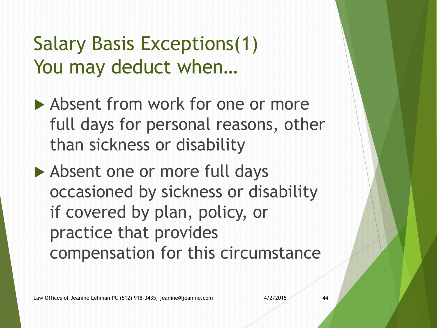#### Salary Basis Exceptions(1) You may deduct when…

- Absent from work for one or more full days for personal reasons, other than sickness or disability
- Absent one or more full days occasioned by sickness or disability if covered by plan, policy, or practice that provides compensation for this circumstance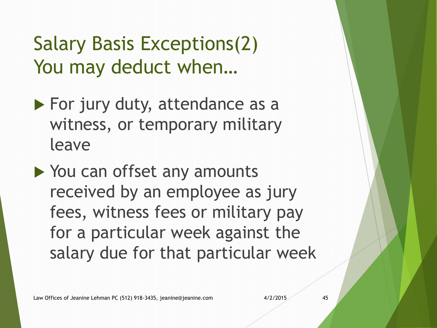Salary Basis Exceptions(2) You may deduct when…

- $\blacktriangleright$  For jury duty, attendance as a witness, or temporary military leave
- ▶ You can offset any amounts received by an employee as jury fees, witness fees or military pay for a particular week against the salary due for that particular week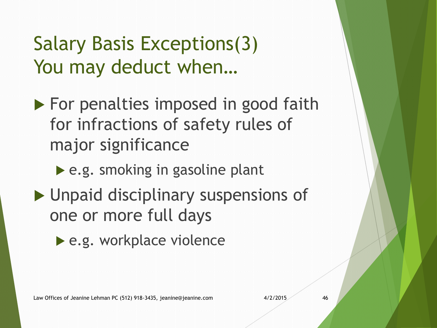#### Salary Basis Exceptions(3) You may deduct when…

- $\blacktriangleright$  For penalties imposed in good faith for infractions of safety rules of major significance
	- ▶ e.g. smoking in gasoline plant
- **Inpaid disciplinary suspensions of** one or more full days
	- ▶ e.g. workplace violence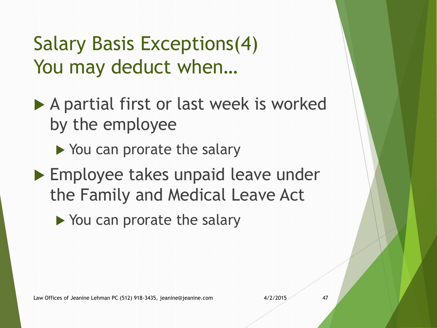#### Salary Basis Exceptions(4) You may deduct when…

- ▶ A partial first or last week is worked by the employee
	- ▶ You can prorate the salary
- ▶ Employee takes unpaid leave under the Family and Medical Leave Act
	- ▶ You can prorate the salary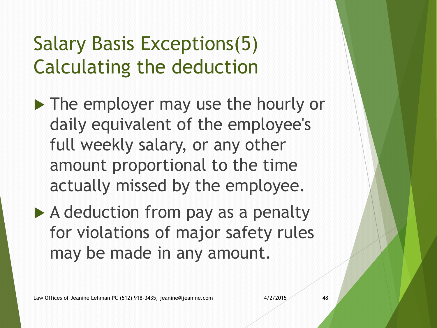#### Salary Basis Exceptions(5) Calculating the deduction

- ▶ The employer may use the hourly or daily equivalent of the employee's full weekly salary, or any other amount proportional to the time actually missed by the employee.
- $\triangleright$  A deduction from pay as a penalty for violations of major safety rules may be made in any amount.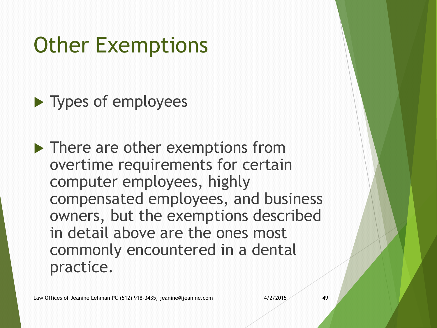## Other Exemptions

▶ Types of employees

▶ There are other exemptions from overtime requirements for certain computer employees, highly compensated employees, and business owners, but the exemptions described in detail above are the ones most commonly encountered in a dental practice.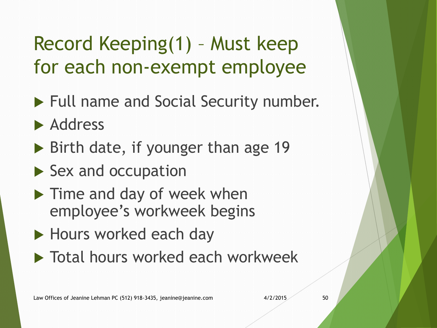#### Record Keeping(1) – Must keep for each non-exempt employee

- Full name and Social Security number.
- **Address**
- $\triangleright$  Birth date, if younger than age 19
- $\blacktriangleright$  Sex and occupation
- **Time and day of week when** employee's workweek begins
- ▶ Hours worked each day
- **Total hours worked each workweek**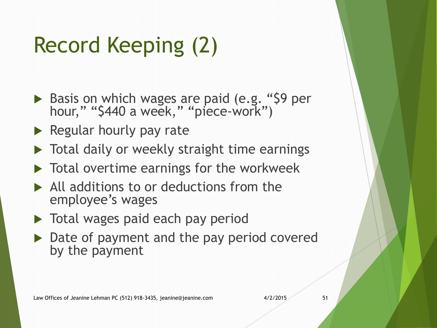## Record Keeping (2)

- Basis on which wages are paid (e.g. "\$9 per hour," "\$440 a week," "piece-work")
- $\blacktriangleright$  Regular hourly pay rate
- ▶ Total daily or weekly straight time earnings
- $\blacktriangleright$  Total overtime earnings for the workweek
- All additions to or deductions from the employee's wages
- Total wages paid each pay period
- ▶ Date of payment and the pay period covered by the payment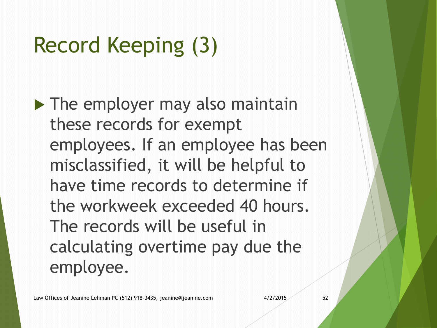## Record Keeping (3)

 $\blacktriangleright$  The employer may also maintain these records for exempt employees. If an employee has been misclassified, it will be helpful to have time records to determine if the workweek exceeded 40 hours. The records will be useful in calculating overtime pay due the employee.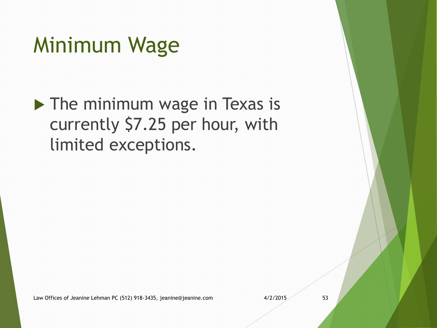## Minimum Wage

The minimum wage in Texas is currently \$7.25 per hour, with limited exceptions.

Law Offices of Jeanine Lehman PC (512) 918-3435, jeanine@jeanine.com 4/2/2015 4/2/2015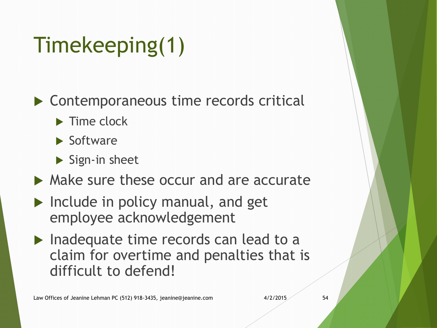## Timekeeping(1)

▶ Contemporaneous time records critical

- $\blacktriangleright$  Time clock
- $\blacktriangleright$  Software
- $\blacktriangleright$  Sign-in sheet
- Make sure these occur and are accurate
- $\blacktriangleright$  Include in policy manual, and get employee acknowledgement
- $\blacktriangleright$  Inadequate time records can lead to a claim for overtime and penalties that is difficult to defend!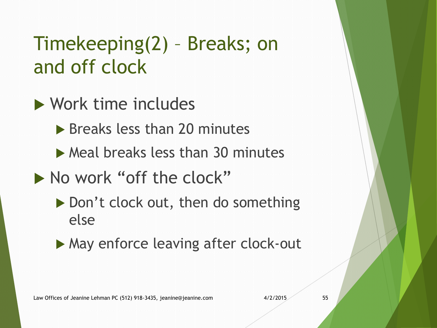#### Timekeeping(2) – Breaks; on and off clock

- ▶ Work time includes
	- ▶ Breaks less than 20 minutes
	- $\triangleright$  Meal breaks less than 30 minutes
- No work "off the clock"
	- ▶ Don't clock out, then do something else
	- ▶ May enforce leaving after clock-out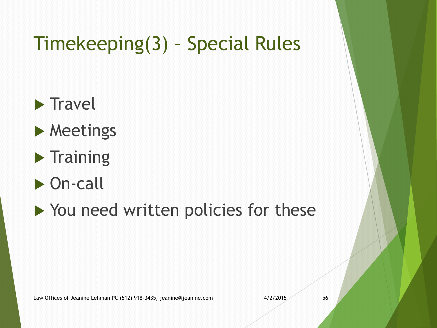#### Timekeeping(3) – Special Rules

- $\blacktriangleright$  Travel
- **Meetings**
- $\blacktriangleright$  Training
- ▶ On-call
- ▶ You need written policies for these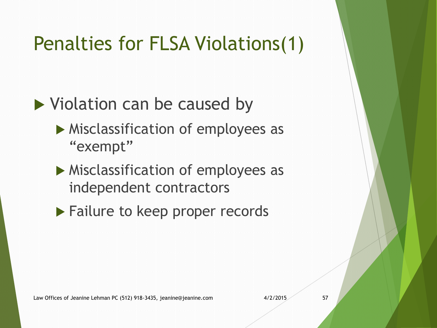#### Penalties for FLSA Violations(1)

#### Violation can be caused by

- **Misclassification of employees as** "exempt"
- **Misclassification of employees as** independent contractors
- ▶ Failure to keep proper records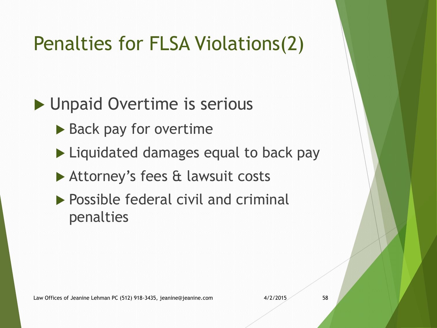#### Penalties for FLSA Violations(2)

#### ▶ Unpaid Overtime is serious

- ▶ Back pay for overtime
- ▶ Liquidated damages equal to back pay
- ▶ Attorney's fees & lawsuit costs
- $\blacktriangleright$  Possible federal civil and criminal penalties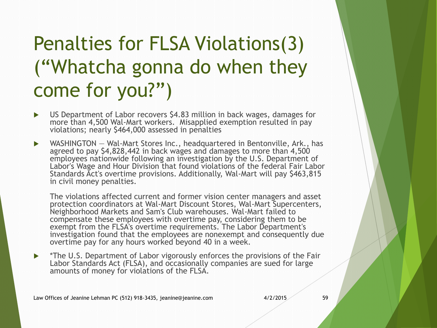#### Penalties for FLSA Violations(3) ("Whatcha gonna do when they come for you?")

- US Department of Labor recovers \$4.83 million in back wages, damages for more than 4,500 Wal-Mart workers. Misapplied exemption resulted in pay violations; nearly \$464,000 assessed in penalties
- ▶ WASHINGTON Wal-Mart Stores Inc., headquartered in Bentonville, Ark., has agreed to pay \$4,828,442 in back wages and damages to more than 4,500 employees nationwide following an investigation by the U.S. Department of Labor's Wage and Hour Division that found violations of the federal Fair Labor Standards Act's overtime provisions. Additionally, Wal-Mart will pay \$463,815 in civil money penalties.

The violations affected current and former vision center managers and asset protection coordinators at Wal-Mart Discount Stores, Wal-Mart Supercenters, Neighborhood Markets and Sam's Club warehouses. Wal-Mart failed to compensate these employees with overtime pay, considering them to be exempt from the FLSA's overtime requirements. The Labor Department's investigation found that the employees are nonexempt and consequently due overtime pay for any hours worked beyond 40 in a week.

▶ \*The U.S. Department of Labor vigorously enforces the provisions of the Fair Labor Standards Act (FLSA), and occasionally companies are sued for large amounts of money for violations of the FLSA.

Law Offices of Jeanine Lehman PC (512) 918-3435, jeanine@jeanine.com 4/2/2015 4/2/2015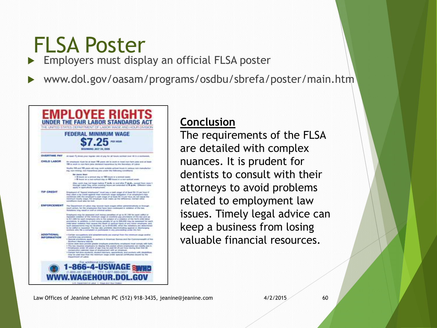## FLSA Poster

**Employers must display an official FLSA poster** 

www.dol.gov/oasam/programs/osdbu/sbrefa/poster/main.htm



#### **Conclusion**

The requirements of the FLSA are detailed with complex nuances. It is prudent for dentists to consult with their attorneys to avoid problems related to employment law issues. Timely legal advice can keep a business from losing valuable financial resources.

Law Offices of Jeanine Lehman PC (512) 918-3435, jeanine@jeanine.com 4/2/2015 60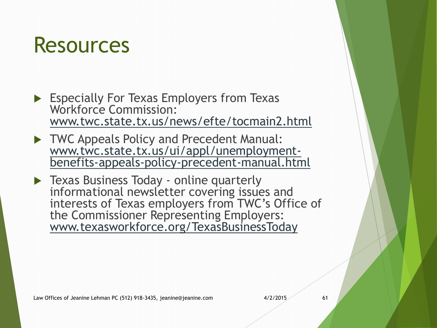## Resources

Especially For Texas Employers from Texas Workforce Commission: [www.twc.state.tx.us/news/efte/tocmain2.html](http://www.twc.state.tx.us/news/efte/tocmain2.html)

TWC Appeals Policy and Precedent Manual: [www.twc.state.tx.us/ui/appl/unemployment](http://www.twc.state.tx.us/ui/appl/unemployment-benefits-appeals-policy-precedent-manual.html)[benefits-appeals-policy-precedent-manual.html](http://www.twc.state.tx.us/ui/appl/unemployment-benefits-appeals-policy-precedent-manual.html)

**Texas Business Today - online quarterly** informational newsletter covering issues and interests of Texas employers from TWC's Office of the Commissioner Representing Employers: [www.texasworkforce.org/TexasBusinessToday](http://www.texasworkforce.org/TexasBusinessToday)